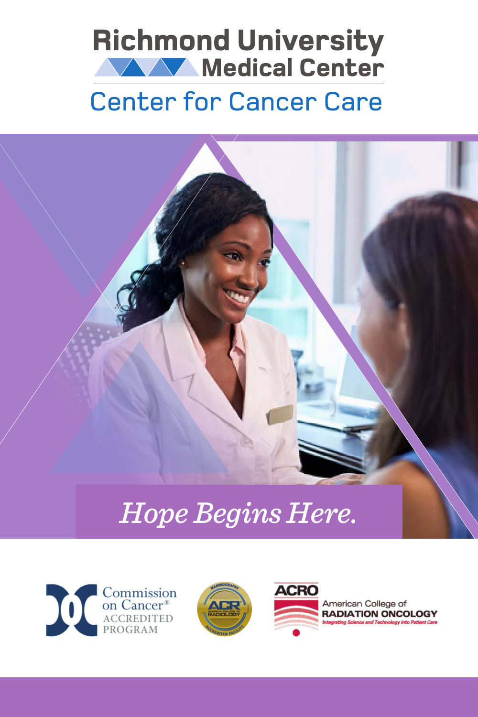



# *Hope Begins Here.*



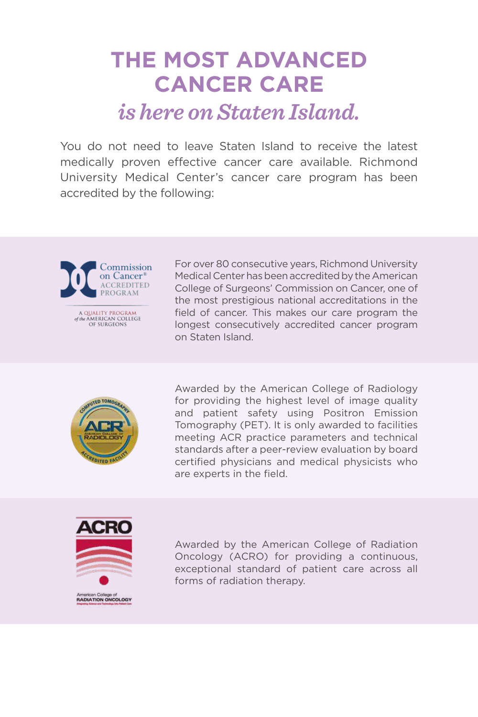# **THE MOST ADVANCED CANCER CARE**  *is here on Staten Island.*

You do not need to leave Staten Island to receive the latest medically proven effective cancer care available. Richmond University Medical Center's cancer care program has been accredited by the following:



A QUALITY PROGRAM<br>of the AMERICAN COLLEGE OF SURGEONS

For over 80 consecutive years, Richmond University Medical Center has been accredited by the American College of Surgeons' Commission on Cancer, one of the most prestigious national accreditations in the field of cancer. This makes our care program the longest consecutively accredited cancer program on Staten Island.



Awarded by the American College of Radiology for providing the highest level of image quality and patient safety using Positron Emission Tomography (PET). It is only awarded to facilities meeting ACR practice parameters and technical standards after a peer-review evaluation by board certified physicians and medical physicists who are experts in the field.



American College of<br>RADIATION ONCOLOGY

Awarded by the American College of Radiation Oncology (ACRO) for providing a continuous, exceptional standard of patient care across all forms of radiation therapy.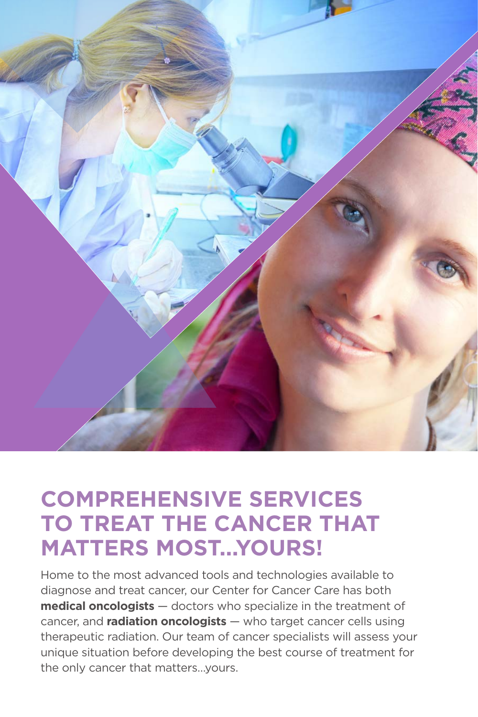

## **COMPREHENSIVE SERVICES TO TREAT THE CANCER THAT MATTERS MOST...YOURS!**

Home to the most advanced tools and technologies available to diagnose and treat cancer, our Center for Cancer Care has both **medical oncologists** — doctors who specialize in the treatment of cancer, and **radiation oncologists** — who target cancer cells using therapeutic radiation. Our team of cancer specialists will assess your unique situation before developing the best course of treatment for the only cancer that matters…yours.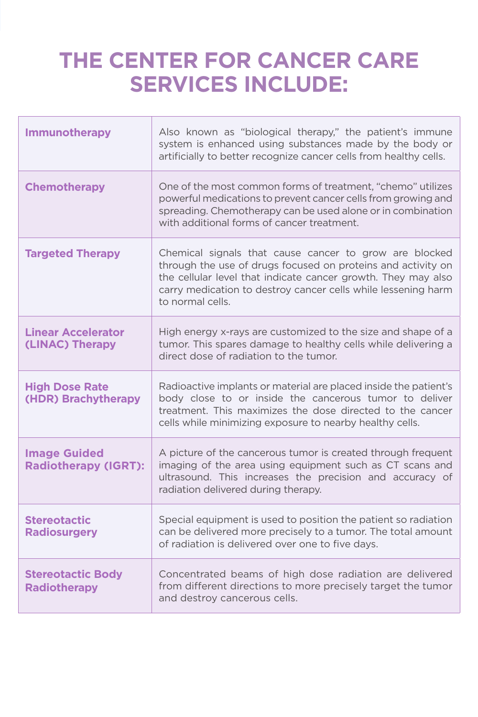## **THE CENTER FOR CANCER CARE SERVICES INCLUDE:**

| <b>Immunotherapy</b>                               | Also known as "biological therapy," the patient's immune<br>system is enhanced using substances made by the body or<br>artificially to better recognize cancer cells from healthy cells.                                                                                     |
|----------------------------------------------------|------------------------------------------------------------------------------------------------------------------------------------------------------------------------------------------------------------------------------------------------------------------------------|
| <b>Chemotherapy</b>                                | One of the most common forms of treatment, "chemo" utilizes<br>powerful medications to prevent cancer cells from growing and<br>spreading. Chemotherapy can be used alone or in combination<br>with additional forms of cancer treatment.                                    |
| <b>Targeted Therapy</b>                            | Chemical signals that cause cancer to grow are blocked<br>through the use of drugs focused on proteins and activity on<br>the cellular level that indicate cancer growth. They may also<br>carry medication to destroy cancer cells while lessening harm<br>to normal cells. |
| <b>Linear Accelerator</b><br>(LINAC) Therapy       | High energy x-rays are customized to the size and shape of a<br>tumor. This spares damage to healthy cells while delivering a<br>direct dose of radiation to the tumor.                                                                                                      |
| <b>High Dose Rate</b><br>(HDR) Brachytherapy       | Radioactive implants or material are placed inside the patient's<br>body close to or inside the cancerous tumor to deliver<br>treatment. This maximizes the dose directed to the cancer<br>cells while minimizing exposure to nearby healthy cells.                          |
| <b>Image Guided</b><br><b>Radiotherapy (IGRT):</b> | A picture of the cancerous tumor is created through frequent<br>imaging of the area using equipment such as CT scans and<br>ultrasound. This increases the precision and accuracy of<br>radiation delivered during therapy.                                                  |
| <b>Stereotactic</b><br><b>Radiosurgery</b>         | Special equipment is used to position the patient so radiation<br>can be delivered more precisely to a tumor. The total amount<br>of radiation is delivered over one to five days.                                                                                           |
| <b>Stereotactic Body</b><br><b>Radiotherapy</b>    | Concentrated beams of high dose radiation are delivered<br>from different directions to more precisely target the tumor<br>and destroy cancerous cells.                                                                                                                      |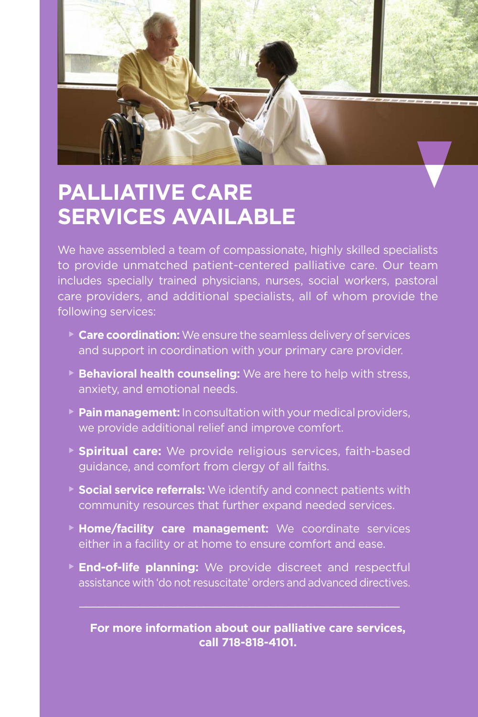

# **PALLIATIVE CARE SERVICES AVAILABLE**